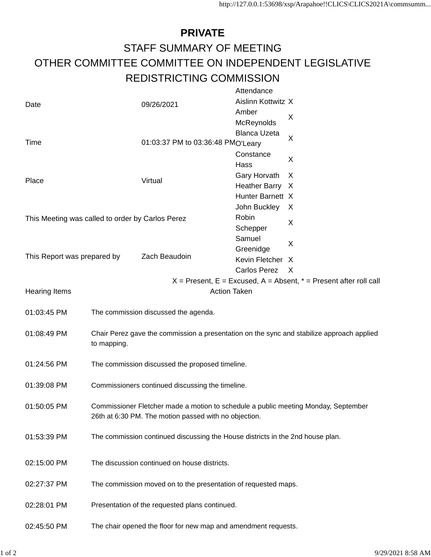## **PRIVATE** STAFF SUMMARY OF MEETING OTHER COMMITTEE COMMITTEE ON INDEPENDENT LEGISLATIVE REDISTRICTING COMMISSION

|                                                                                                                      |                                                                                                                                             |                                   | Attendance          |              |
|----------------------------------------------------------------------------------------------------------------------|---------------------------------------------------------------------------------------------------------------------------------------------|-----------------------------------|---------------------|--------------|
| Date                                                                                                                 |                                                                                                                                             | 09/26/2021                        | Aislinn Kottwitz X  |              |
|                                                                                                                      |                                                                                                                                             |                                   | Amber               |              |
|                                                                                                                      |                                                                                                                                             |                                   | McReynolds          | X            |
|                                                                                                                      |                                                                                                                                             |                                   | <b>Blanca Uzeta</b> |              |
| Time                                                                                                                 |                                                                                                                                             | 01:03:37 PM to 03:36:48 PMO'Leary |                     | X            |
|                                                                                                                      |                                                                                                                                             |                                   | Constance           | X            |
|                                                                                                                      |                                                                                                                                             |                                   | Hass                |              |
| Place                                                                                                                |                                                                                                                                             | Virtual                           | Gary Horvath        | X            |
|                                                                                                                      |                                                                                                                                             |                                   | Heather Barry X     |              |
|                                                                                                                      |                                                                                                                                             |                                   | Hunter Barnett X    |              |
| This Meeting was called to order by Carlos Perez                                                                     |                                                                                                                                             |                                   | John Buckley        | X            |
|                                                                                                                      |                                                                                                                                             |                                   | Robin               |              |
|                                                                                                                      |                                                                                                                                             |                                   | Schepper            | X            |
|                                                                                                                      |                                                                                                                                             |                                   | Samuel              |              |
| This Report was prepared by                                                                                          |                                                                                                                                             | Zach Beaudoin                     | Greenidge           | X            |
|                                                                                                                      |                                                                                                                                             |                                   | Kevin Fletcher X    |              |
|                                                                                                                      |                                                                                                                                             |                                   | Carlos Perez        | $\mathsf{X}$ |
|                                                                                                                      |                                                                                                                                             |                                   |                     |              |
| $X =$ Present, E = Excused, A = Absent, $* =$ Present after roll call<br><b>Action Taken</b><br><b>Hearing Items</b> |                                                                                                                                             |                                   |                     |              |
|                                                                                                                      |                                                                                                                                             |                                   |                     |              |
| 01:03:45 PM                                                                                                          | The commission discussed the agenda.                                                                                                        |                                   |                     |              |
| 01:08:49 PM                                                                                                          | Chair Perez gave the commission a presentation on the sync and stabilize approach applied<br>to mapping.                                    |                                   |                     |              |
| 01:24:56 PM                                                                                                          | The commission discussed the proposed timeline.                                                                                             |                                   |                     |              |
| 01:39:08 PM                                                                                                          | Commissioners continued discussing the timeline.                                                                                            |                                   |                     |              |
| 01:50:05 PM                                                                                                          | Commissioner Fletcher made a motion to schedule a public meeting Monday, September<br>26th at 6:30 PM. The motion passed with no objection. |                                   |                     |              |
| 01:53:39 PM                                                                                                          | The commission continued discussing the House districts in the 2nd house plan.                                                              |                                   |                     |              |
| 02:15:00 PM                                                                                                          | The discussion continued on house districts.                                                                                                |                                   |                     |              |
| 02:27:37 PM                                                                                                          | The commission moved on to the presentation of requested maps.                                                                              |                                   |                     |              |
| 02:28:01 PM                                                                                                          | Presentation of the requested plans continued.                                                                                              |                                   |                     |              |
| 02:45:50 PM                                                                                                          | The chair opened the floor for new map and amendment requests.                                                                              |                                   |                     |              |